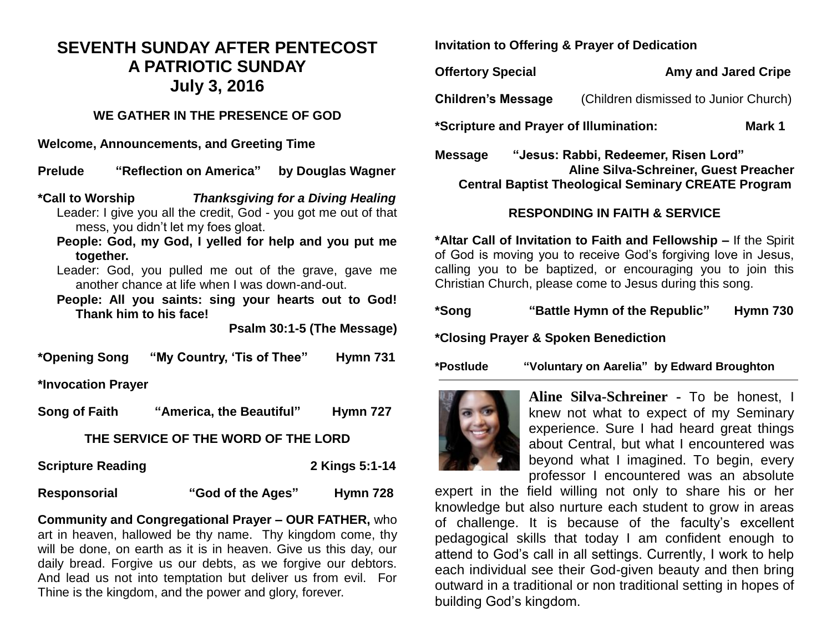# **SEVENTH SUNDAY AFTER PENTECOST A PATRIOTIC SUNDAY July 3, 2016**

#### **WE GATHER IN THE PRESENCE OF GOD**

**Welcome, Announcements, and Greeting Time** 

**Prelude "Reflection on America" by Douglas Wagner** 

- **\*Call to Worship** *Thanksgiving for a Diving Healing* Leader: I give you all the credit, God - you got me out of that mess, you didn't let my foes gloat.
	- **People: God, my God, I yelled for help and you put me together.**
	- Leader: God, you pulled me out of the grave, gave me another chance at life when I was down-and-out.
	- **People: All you saints: sing your hearts out to God! Thank him to his face!**

**Psalm 30:1-5 (The Message)**

**\*Opening Song "My Country, 'Tis of Thee" Hymn 731**

**\*Invocation Prayer** 

**Song of Faith "America, the Beautiful" Hymn 727**

### **THE SERVICE OF THE WORD OF THE LORD**

**Scripture Reading 2 Kings 5:1-14** 

**Responsorial "God of the Ages" Hymn 728**

**Community and Congregational Prayer – OUR FATHER,** who art in heaven, hallowed be thy name. Thy kingdom come, thy will be done, on earth as it is in heaven. Give us this day, our daily bread. Forgive us our debts, as we forgive our debtors. And lead us not into temptation but deliver us from evil. For Thine is the kingdom, and the power and glory, forever.

**Invitation to Offering & Prayer of Dedication** 

**Offertory Special Amy and Jared Cripe**

**Children's Message** (Children dismissed to Junior Church)

**\*Scripture and Prayer of Illumination: Mark 1**

**Message "Jesus: Rabbi, Redeemer, Risen Lord" Aline Silva-Schreiner, Guest Preacher Central Baptist Theological Seminary CREATE Program**

## **RESPONDING IN FAITH & SERVICE**

**\*Altar Call of Invitation to Faith and Fellowship –** If the Spirit of God is moving you to receive God's forgiving love in Jesus, calling you to be baptized, or encouraging you to join this Christian Church, please come to Jesus during this song.

| *Song | "Battle Hymn of the Republic" | Hymn 730 |
|-------|-------------------------------|----------|
|       |                               |          |

**\*Closing Prayer & Spoken Benediction**

**\*Postlude "Voluntary on Aarelia" by Edward Broughton** 



**Aline Silva-Schreiner -** To be honest, I knew not what to expect of my Seminary experience. Sure I had heard great things about Central, but what I encountered was beyond what I imagined. To begin, every professor I encountered was an absolute

expert in the field willing not only to share his or her knowledge but also nurture each student to grow in areas of challenge. It is because of the faculty's excellent pedagogical skills that today I am confident enough to attend to God's call in all settings. Currently, I work to help each individual see their God-given beauty and then bring outward in a traditional or non traditional setting in hopes of building God's kingdom.